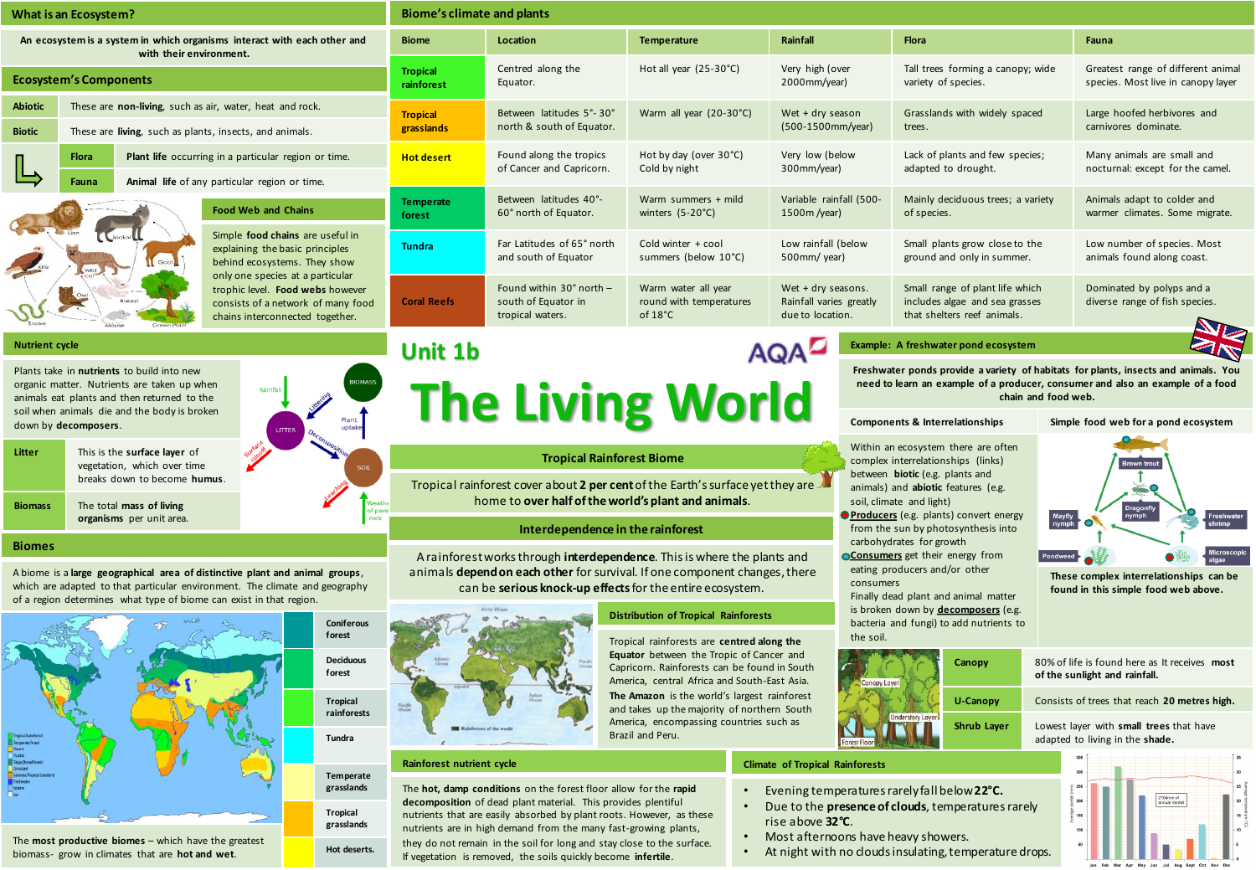| What is an Ecosystem?                                                                                                                                  | Biome's climate and plants    |                                                                            |                                                                     |                                                                   |                                                                                                                             |                                                                          |
|--------------------------------------------------------------------------------------------------------------------------------------------------------|-------------------------------|----------------------------------------------------------------------------|---------------------------------------------------------------------|-------------------------------------------------------------------|-----------------------------------------------------------------------------------------------------------------------------|--------------------------------------------------------------------------|
| An ecosystem is a system in which organisms interact with each other and<br>with their environment.                                                    | <b>Biome</b>                  | Location                                                                   | Temperature                                                         | Rainfall                                                          | <b>Flora</b>                                                                                                                | Fauna                                                                    |
| <b>Ecosystem's Components</b>                                                                                                                          | <b>Tropical</b><br>rainforest | Centred along the<br>Equator.                                              | Hot all year (25-30°C)                                              | Very high (over<br>2000mm/year)                                   | Tall trees forming a canopy; wide<br>variety of species.                                                                    | Greatest range of different animal<br>species. Most live in canopy layer |
| These are non-living, such as air, water, heat and rock.<br><b>Abiotic</b><br><b>Biotic</b><br>These are living, such as plants, insects, and animals. | <b>Tropical</b><br>grasslands | Between latitudes 5°-30°<br>north & south of Equator.                      | Warm all year (20-30°C)                                             | Wet $+$ dry season<br>(500-1500mm/year)                           | Grasslands with widely spaced<br>trees.                                                                                     | Large hoofed herbivores and<br>carnivores dominate.                      |
| Plant life occurring in a particular region or time.<br><b>Flora</b><br>Animal life of any particular region or time.<br>Fauna                         | <b>Hot desert</b>             | Found along the tropics<br>of Cancer and Capricorn.                        | Hot by day (over 30°C)<br>Cold by night                             | Very low (below<br>300mm/year)                                    | Lack of plants and few species;<br>adapted to drought.                                                                      | Many animals are small and<br>nocturnal: except for the camel.           |
| <b>Food Web and Chains</b>                                                                                                                             | <b>Temperate</b><br>forest    | Between latitudes 40°-<br>60° north of Equator.                            | Warm summers + mild<br>winters $(5-20^{\circ}C)$                    | Variable rainfall (500-<br>1500m /year)                           | Mainly deciduous trees; a variety<br>of species.                                                                            | Animals adapt to colder and<br>warmer climates. Some migrate.            |
| Simple food chains are useful in<br>explaining the basic principles<br>behind ecosystems. They show<br>Goat                                            | <b>Tundra</b>                 | Far Latitudes of 65° north<br>and south of Equator                         | Cold winter + cool<br>summers (below 10°C)                          | Low rainfall (below<br>500mm/ year)                               | Small plants grow close to the<br>ground and only in summer.                                                                | Low number of species. Most<br>animals found along coast.                |
| only one species at a particular<br>trophic level. Food webs however<br>consists of a network of many food<br>chains interconnected together.          | <b>Coral Reefs</b>            | Found within $30^\circ$ north -<br>south of Equator in<br>tropical waters. | Warm water all year<br>round with temperatures<br>of $18^{\circ}$ C | Wet + dry seasons.<br>Rainfall varies greatly<br>due to location. | Small range of plant life which<br>includes algae and sea grasses<br>that shelters reef animals.                            | Dominated by polyps and a<br>diverse range of fish species.              |
| <b>Nutrient cycle</b><br>Plants take in <b>nutrients</b> to build into new                                                                             | <b>Unit 1b</b>                |                                                                            |                                                                     |                                                                   | Example: A freshwater pond ecosystem<br>Freshwater ponds provide a variety of habitats for plants, insects and animals. You |                                                                          |

Plants take in **nutrients** to build into new organic matter. Nutrients are taken up when animals eat plants and then returned to the soil when animals die and the body is broken down by **decomposers**.

| Litter         | This is the surface layer of<br>vegetation, which over time<br>breaks down to become humus. |  |
|----------------|---------------------------------------------------------------------------------------------|--|
| <b>Biomass</b> | The total mass of living<br>organisms per unit area.                                        |  |

#### **Biomes**

A biome is a **large geographical area of distinctive plant and animal groups**, which are adapted to that particular environment. The climate and geography of a region determines what type of biome can exist in that region.



The **most productive biomes** – which have the greatest biomass- grow in climates that are **hot and wet**.

# **The Living World**

#### **Tropical Rainforest Biome**

Tropical rainforest cover about **2 per cent** of the Earth's surface yet they are home to **over half of the world's plant and animals**.

#### **Interdependence in the rainforest**

A rainforest works through **interdependence**. This is where the plants and animals **depend on each other** for survival. If one component changes, there can be **serious knock-up effects** for the entire ecosystem.

#### **Distribution of Tropical Rainforests**

Tropical rainforests are **centred along the Equator** between the Tropic of Cancer and Capricorn. Rainforests can be found in South America, central Africa and South-East Asia. **The Amazon** is the world's largest rainforest and takes up the majority of northern South America, encompassing countries such as Brazil and Peru.

#### **Climate of Tropical Rainforests**

- Evening temperatures rarely fall below**22°C.**
- Due to the **presence of clouds**, temperatures rarely rise above **32°C**.
- Most afternoons have heavy showers.
- At night with no clouds insulating, temperature drops.

# **Components & Interrelationships Simple food web for a pond ecosystem**

Within an ecosystem there are often complex interrelationships (links) between **biotic** (e.g. plants and animals) and **abiotic** features (e.g. soil, climate and light)

**Producers** (e.g. plants) convert energy from the sun by photosynthesis into carbohydrates for growth

**Consumers** get their energy from eating producers and/or other consumers

**Layers** (e.g. **Layers** of the **R** over  $\mathbf{c}$  and  $\mathbf{c}$  and  $\mathbf{c}$ Finally dead plant and animal matter bacteria and fungi) to add nutrients to the soil.





**These complex interrelationships can be found in this simple food web above.**

**Canopy** 80% of life is found here as It receives **most of the sunlight and rainfall.**

**U-Canopy** Consists of trees that reach **20 metres high.**

**Shrub Layer** Lowest layer with **small trees** that have adapted to living in the **shade.**





### **Rainforest nutrient cycle**

**Hot deserts.** 

The **hot, damp conditions** on the forest floor allow for the **rapid decomposition** of dead plant material. This provides plentiful nutrients that are easily absorbed by plant roots. However, as these nutrients are in high demand from the many fast-growing plants, they do not remain in the soil for long and stay close to the surface. If vegetation is removed, the soils quickly become **infertile**.

**need to learn an example of a producer, consumer and also an example of a food chain and food web.**